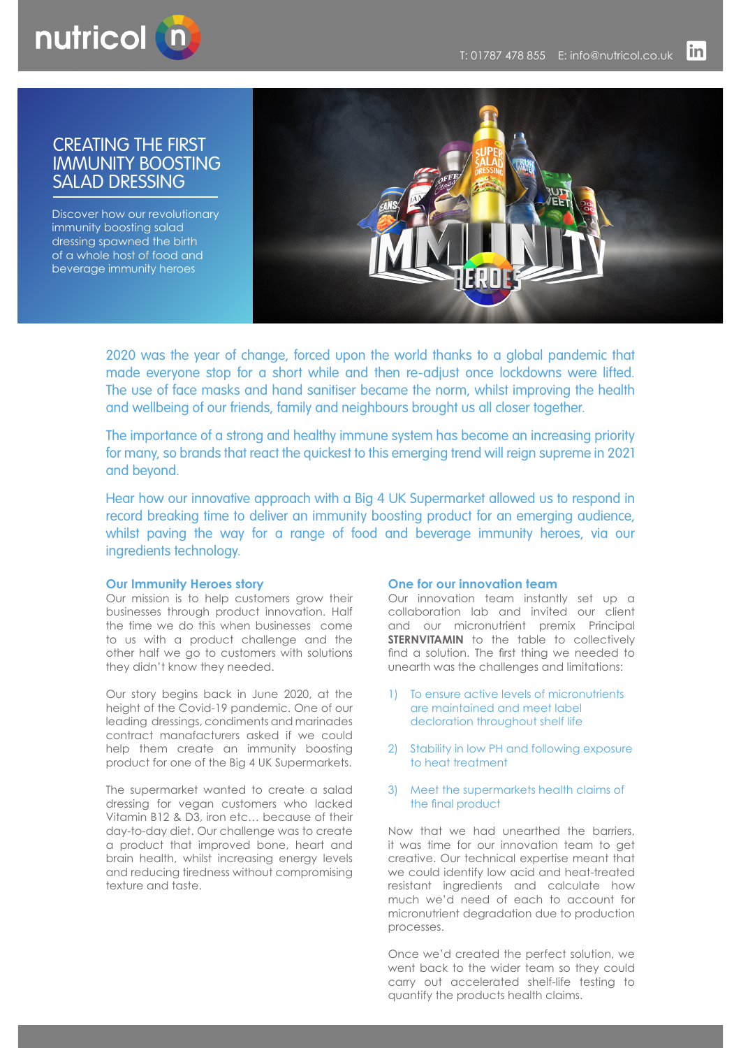

# CREATING THE FIRST IMMUNITY BOOSTING SALAD DRESSING

Discover how our revolutionary immunity boosting salad dressing spawned the birth of a whole host of food and beverage immunity heroes



2020 was the year of change, forced upon the world thanks to a global pandemic that made everyone stop for a short while and then re-adjust once lockdowns were lifted. The use of face masks and hand sanitiser became the norm, whilst improving the health and wellbeing of our friends, family and neighbours brought us all closer together.

The importance of a strong and healthy immune system has become an increasing priority for many, so brands that react the quickest to this emerging trend will reign supreme in 2021 and beyond.

Hear how our innovative approach with a Big 4 UK Supermarket allowed us to respond in record breaking time to deliver an immunity boosting product for an emerging audience, whilst paving the way for a range of food and beverage immunity heroes, via our ingredients technology.

#### **Our Immunity Heroes story**

Our mission is to help customers grow their businesses through product innovation. Half the time we do this when businesses come to us with a product challenge and the other half we go to customers with solutions they didn't know they needed.

Our story begins back in June 2020, at the height of the Covid-19 pandemic. One of our leading dressings, condiments and marinades contract manafacturers asked if we could help them create an immunity boosting product for one of the Big 4 UK Supermarkets.

The supermarket wanted to create a salad dressing for vegan customers who lacked Vitamin B12 & D3, iron etc… because of their day-to-day diet. Our challenge was to create a product that improved bone, heart and brain health, whilst increasing energy levels and reducing tiredness without compromising texture and taste.

#### **One for our innovation team**

Our innovation team instantly set up a collaboration lab and invited our client and our micronutrient premix Principal **STERNVITAMIN** to the table to collectively find a solution. The first thing we needed to unearth was the challenges and limitations:

- 1) To ensure active levels of micronutrients are maintained and meet label decloration throughout shelf life
- 2) Stability in low PH and following exposure to heat treatment
- 3) Meet the supermarkets health claims of the final product

Now that we had unearthed the barriers, it was time for our innovation team to get creative. Our technical expertise meant that we could identify low acid and heat-treated resistant ingredients and calculate how much we'd need of each to account for micronutrient degradation due to production processes.

Once we'd created the perfect solution, we went back to the wider team so they could carry out accelerated shelf-life testing to quantify the products health claims.